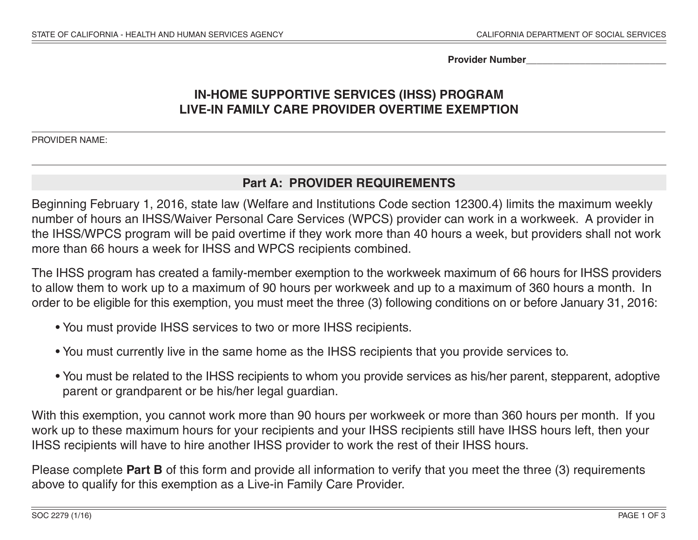**Provider Number\_\_\_\_\_\_\_\_\_\_\_\_\_\_\_\_\_\_\_\_\_\_\_\_\_\_**

## **IN-HOME SUPPORTIVE SERVICES (IHSS) PROGRAM LIVE-IN FAMILY CARE PROVIDER OVERTIME EXEMPTION**

PROVIDER NAME:

## **Part A: PROVIDER REQUIREMENTS**

Beginning February 1, 2016, state law (Welfare and Institutions Code section 12300.4) limits the maximum weekly number of hours an IHSS/Waiver Personal Care Services (WPCS) provider can work in a workweek. A provider in the IHSS/WPCS program will be paid overtime if they work more than 40 hours a week, but providers shall not work more than 66 hours a week for IHSS and WPCS recipients combined.

The IHSS program has created a family-member exemption to the workweek maximum of 66 hours for IHSS providers to allow them to work up to a maximum of 90 hours per workweek and up to a maximum of 360 hours a month. In order to be eligible for this exemption, you must meet the three (3) following conditions on or before January 31, 2016:

- You must provide IHSS services to two or more IHSS recipients.
- You must currently live in the same home as the IHSS recipients that you provide services to.
- You must be related to the IHSS recipients to whom you provide services as his/her parent, stepparent, adoptive parent or grandparent or be his/her legal guardian.

With this exemption, you cannot work more than 90 hours per workweek or more than 360 hours per month. If you work up to these maximum hours for your recipients and your IHSS recipients still have IHSS hours left, then your IHSS recipients will have to hire another IHSS provider to work the rest of their IHSS hours.

Please complete **Part B** of this form and provide all information to verify that you meet the three (3) requirements above to qualify for this exemption as a Live-in Family Care Provider.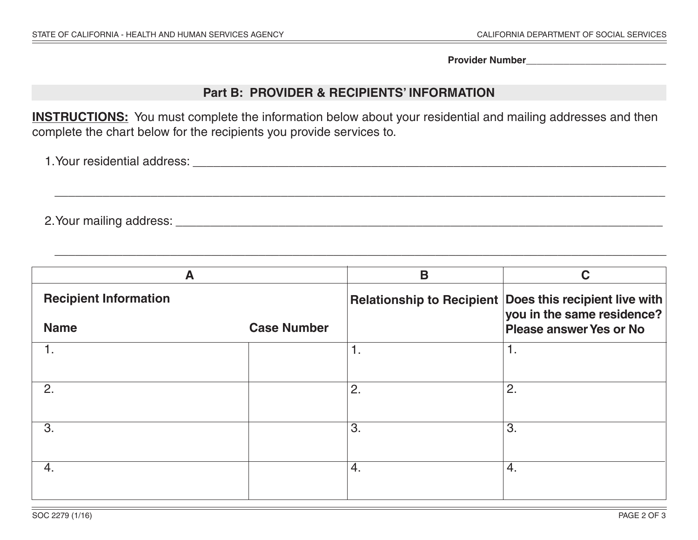**Provider Number** 

## **Part B: PROVIDER & RECIPIENTS' INFORMATION**

**INSTRUCTIONS:** You must complete the information below about your residential and mailing addresses and then complete the chart below for the recipients you provide services to.

\_\_\_\_\_\_\_\_\_\_\_\_\_\_\_\_\_\_\_\_\_\_\_\_\_\_\_\_\_\_\_\_\_\_\_\_\_\_\_\_\_\_\_\_\_\_\_\_\_\_\_\_\_\_\_\_\_\_\_\_\_\_\_\_\_\_\_\_\_\_\_\_\_\_\_\_\_\_\_\_\_\_\_\_\_\_\_\_\_

\_\_\_\_\_\_\_\_\_\_\_\_\_\_\_\_\_\_\_\_\_\_\_\_\_\_\_\_\_\_\_\_\_\_\_\_\_\_\_\_\_\_\_\_\_\_\_\_\_\_\_\_\_\_\_\_\_\_\_\_\_\_\_\_\_\_\_\_\_\_\_\_\_\_\_\_\_\_\_\_\_\_\_\_\_\_\_\_\_\_

1.Your residential address: \_\_\_\_\_\_\_\_\_\_\_\_\_\_\_\_\_\_\_\_\_\_\_\_\_\_\_\_\_\_\_\_\_\_\_\_\_\_\_\_\_\_\_\_\_\_\_\_\_\_\_\_\_\_\_\_\_\_\_\_\_\_\_\_\_\_\_\_\_

2.Your mailing address: \_\_\_\_\_\_\_\_\_\_\_\_\_\_\_\_\_\_\_\_\_\_\_\_\_\_\_\_\_\_\_\_\_\_\_\_\_\_\_\_\_\_\_\_\_\_\_\_\_\_\_\_\_\_\_\_\_\_\_\_\_\_\_\_\_\_\_\_\_\_\_

| A                                           |                    | B  | C                                                                                                                       |
|---------------------------------------------|--------------------|----|-------------------------------------------------------------------------------------------------------------------------|
| <b>Recipient Information</b><br><b>Name</b> | <b>Case Number</b> |    | Relationship to Recipient Does this recipient live with<br>you in the same residence?<br><b>Please answer Yes or No</b> |
|                                             |                    |    |                                                                                                                         |
|                                             |                    | 1. | 1.                                                                                                                      |
| 2.                                          |                    | 2. | 2.                                                                                                                      |
| 3.                                          |                    | 3. | 3.                                                                                                                      |
| 4.                                          |                    | 4. | 4.                                                                                                                      |